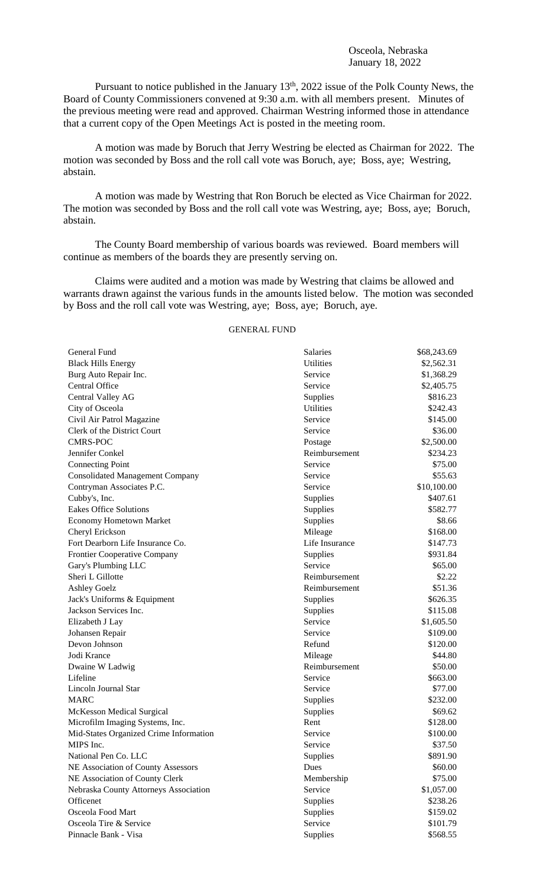Pursuant to notice published in the January 13<sup>th</sup>, 2022 issue of the Polk County News, the Board of County Commissioners convened at 9:30 a.m. with all members present. Minutes of the previous meeting were read and approved. Chairman Westring informed those in attendance that a current copy of the Open Meetings Act is posted in the meeting room.

A motion was made by Boruch that Jerry Westring be elected as Chairman for 2022. The motion was seconded by Boss and the roll call vote was Boruch, aye; Boss, aye; Westring, abstain.

A motion was made by Westring that Ron Boruch be elected as Vice Chairman for 2022. The motion was seconded by Boss and the roll call vote was Westring, aye; Boss, aye; Boruch, abstain.

The County Board membership of various boards was reviewed. Board members will continue as members of the boards they are presently serving on.

Claims were audited and a motion was made by Westring that claims be allowed and warrants drawn against the various funds in the amounts listed below. The motion was seconded by Boss and the roll call vote was Westring, aye; Boss, aye; Boruch, aye.

GENERAL FUND

| General Fund                           | Salaries         | \$68,243.69 |
|----------------------------------------|------------------|-------------|
| <b>Black Hills Energy</b>              | <b>Utilities</b> | \$2,562.31  |
| Burg Auto Repair Inc.                  | Service          | \$1,368.29  |
| Central Office                         | Service          | \$2,405.75  |
| Central Valley AG                      | Supplies         | \$816.23    |
| City of Osceola                        | <b>Utilities</b> | \$242.43    |
| Civil Air Patrol Magazine              | Service          | \$145.00    |
| Clerk of the District Court            | Service          | \$36.00     |
| <b>CMRS-POC</b>                        | Postage          | \$2,500.00  |
| Jennifer Conkel                        | Reimbursement    | \$234.23    |
| <b>Connecting Point</b>                | Service          | \$75.00     |
| <b>Consolidated Management Company</b> | Service          | \$55.63     |
| Contryman Associates P.C.              | Service          | \$10,100.00 |
| Cubby's, Inc.                          | <b>Supplies</b>  | \$407.61    |
| <b>Eakes Office Solutions</b>          | <b>Supplies</b>  | \$582.77    |
| <b>Economy Hometown Market</b>         | <b>Supplies</b>  | \$8.66      |
| Cheryl Erickson                        | Mileage          | \$168.00    |
| Fort Dearborn Life Insurance Co.       | Life Insurance   | \$147.73    |
| Frontier Cooperative Company           | Supplies         | \$931.84    |
| Gary's Plumbing LLC                    | Service          | \$65.00     |
| Sheri L Gillotte                       | Reimbursement    | \$2.22      |
| <b>Ashley Goelz</b>                    | Reimbursement    | \$51.36     |
| Jack's Uniforms & Equipment            | Supplies         | \$626.35    |
| Jackson Services Inc.                  | <b>Supplies</b>  | \$115.08    |
| Elizabeth J Lay                        | Service          | \$1,605.50  |
| Johansen Repair                        | Service          | \$109.00    |
| Devon Johnson                          | Refund           | \$120.00    |
| Jodi Krance                            | Mileage          | \$44.80     |
| Dwaine W Ladwig                        | Reimbursement    | \$50.00     |
| Lifeline                               | Service          | \$663.00    |
| Lincoln Journal Star                   | Service          | \$77.00     |
| <b>MARC</b>                            | <b>Supplies</b>  | \$232.00    |
| McKesson Medical Surgical              | Supplies         | \$69.62     |
| Microfilm Imaging Systems, Inc.        | Rent             | \$128.00    |
| Mid-States Organized Crime Information | Service          | \$100.00    |
| MIPS Inc.                              | Service          | \$37.50     |
| National Pen Co. LLC                   | Supplies         | \$891.90    |
| NE Association of County Assessors     | Dues             | \$60.00     |
| NE Association of County Clerk         | Membership       | \$75.00     |
| Nebraska County Attorneys Association  | Service          | \$1,057.00  |
| Officenet                              | Supplies         | \$238.26    |
| Osceola Food Mart                      | Supplies         | \$159.02    |
| Osceola Tire & Service                 | Service          | \$101.79    |
| Pinnacle Bank - Visa                   | Supplies         | \$568.55    |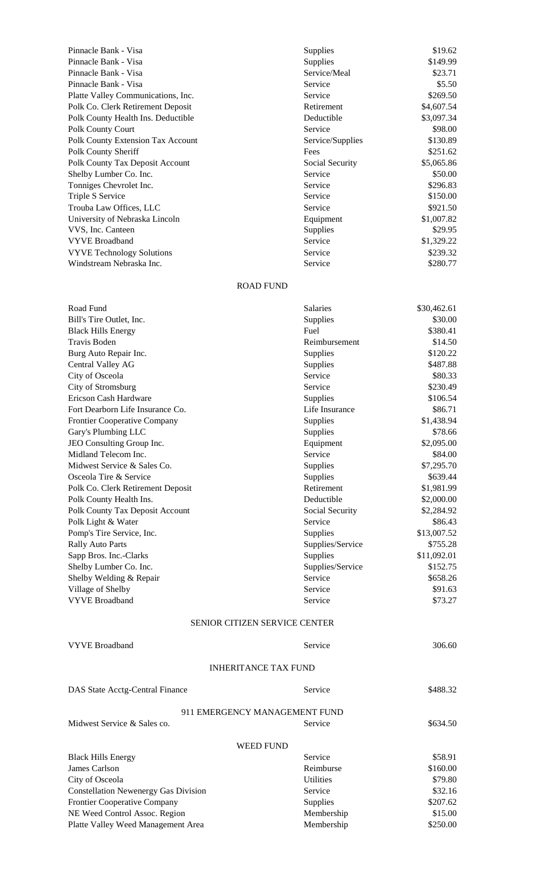| Pinnacle Bank - Visa                     | <b>Supplies</b>  | \$19.62    |
|------------------------------------------|------------------|------------|
| Pinnacle Bank - Visa                     | <b>Supplies</b>  | \$149.99   |
| Pinnacle Bank - Visa                     | Service/Meal     | \$23.71    |
| Pinnacle Bank - Visa                     | Service          | \$5.50     |
| Platte Valley Communications, Inc.       | Service          | \$269.50   |
| Polk Co. Clerk Retirement Deposit        | Retirement       | \$4,607.54 |
| Polk County Health Ins. Deductible       | Deductible       | \$3,097.34 |
| Polk County Court                        | Service          | \$98.00    |
| <b>Polk County Extension Tax Account</b> | Service/Supplies | \$130.89   |
| Polk County Sheriff                      | Fees             | \$251.62   |
| <b>Polk County Tax Deposit Account</b>   | Social Security  | \$5,065.86 |
| Shelby Lumber Co. Inc.                   | Service          | \$50.00    |
| Tonniges Chevrolet Inc.                  | Service          | \$296.83   |
| Triple S Service                         | Service          | \$150.00   |
| Trouba Law Offices, LLC                  | Service          | \$921.50   |
| University of Nebraska Lincoln           | Equipment        | \$1,007.82 |
| VVS, Inc. Canteen                        | <b>Supplies</b>  | \$29.95    |
| <b>VYVE Broadband</b>                    | Service          | \$1,329.22 |
| <b>VYVE Technology Solutions</b>         | Service          | \$239.32   |
| Windstream Nebraska Inc.                 | Service          | \$280.77   |
|                                          |                  |            |

## ROAD FUND

| Road Fund                         | <b>Salaries</b>               | \$30,462.61 |
|-----------------------------------|-------------------------------|-------------|
| Bill's Tire Outlet, Inc.          | Supplies                      | \$30.00     |
| <b>Black Hills Energy</b>         | Fuel                          | \$380.41    |
| Travis Boden                      | Reimbursement                 | \$14.50     |
| Burg Auto Repair Inc.             | Supplies                      | \$120.22    |
| Central Valley AG                 | Supplies                      | \$487.88    |
| City of Osceola                   | Service                       | \$80.33     |
| City of Stromsburg                | Service                       | \$230.49    |
| Ericson Cash Hardware             | Supplies                      | \$106.54    |
| Fort Dearborn Life Insurance Co.  | Life Insurance                | \$86.71     |
| Frontier Cooperative Company      | Supplies                      | \$1,438.94  |
| Gary's Plumbing LLC               | Supplies                      | \$78.66     |
| JEO Consulting Group Inc.         | Equipment                     | \$2,095.00  |
| Midland Telecom Inc.              | Service                       | \$84.00     |
| Midwest Service & Sales Co.       | Supplies                      | \$7,295.70  |
| Osceola Tire & Service            | Supplies                      | \$639.44    |
| Polk Co. Clerk Retirement Deposit | Retirement                    | \$1,981.99  |
| Polk County Health Ins.           | Deductible                    | \$2,000.00  |
| Polk County Tax Deposit Account   | Social Security               | \$2,284.92  |
| Polk Light & Water                | Service                       | \$86.43     |
| Pomp's Tire Service, Inc.         | Supplies                      | \$13,007.52 |
| <b>Rally Auto Parts</b>           | Supplies/Service              | \$755.28    |
| Sapp Bros. Inc.-Clarks            | Supplies                      | \$11,092.01 |
| Shelby Lumber Co. Inc.            | Supplies/Service              | \$152.75    |
| Shelby Welding & Repair           | Service                       | \$658.26    |
| Village of Shelby                 | Service                       | \$91.63     |
| <b>VYVE Broadband</b>             | Service                       | \$73.27     |
|                                   | SENIOR CITIZEN SERVICE CENTER |             |
| <b>VYVE Broadband</b>             | Service                       | 306.60      |
|                                   | <b>INHERITANCE TAX FUND</b>   |             |
| DAS State Acctg-Central Finance   | Service                       | \$488.32    |
|                                   |                               |             |

|                                             | 911 EMERGENCY MANAGEMENT FUND |          |
|---------------------------------------------|-------------------------------|----------|
| Midwest Service & Sales co.                 | Service                       | \$634.50 |
|                                             | WEED FUND                     |          |
| <b>Black Hills Energy</b>                   | Service                       | \$58.91  |
| James Carlson                               | Reimburse                     | \$160.00 |
| City of Osceola                             | Utilities                     | \$79.80  |
| <b>Constellation Newenergy Gas Division</b> | Service                       | \$32.16  |
| Frontier Cooperative Company                | Supplies                      | \$207.62 |
| NE Weed Control Assoc. Region               | Membership                    | \$15.00  |
| Platte Valley Weed Management Area          | Membership                    | \$250.00 |
|                                             |                               |          |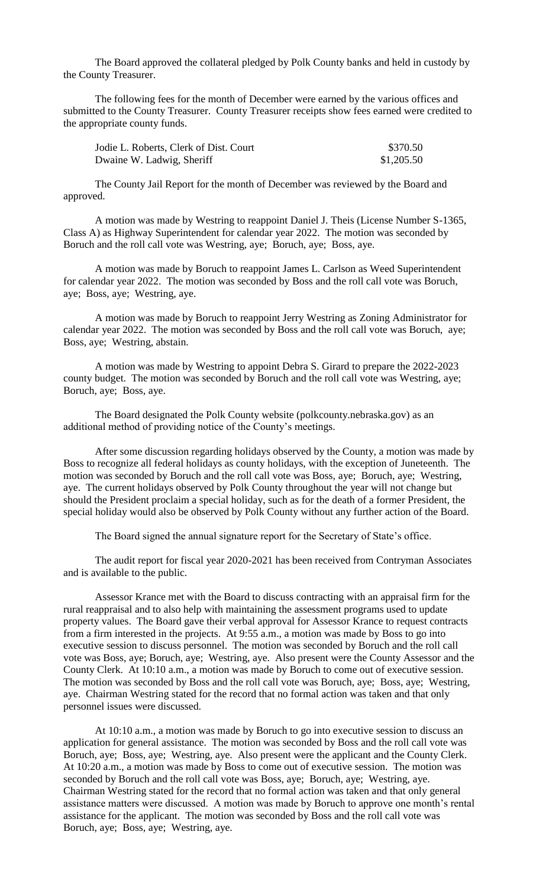The Board approved the collateral pledged by Polk County banks and held in custody by the County Treasurer.

The following fees for the month of December were earned by the various offices and submitted to the County Treasurer. County Treasurer receipts show fees earned were credited to the appropriate county funds.

| Jodie L. Roberts, Clerk of Dist. Court | \$370.50   |
|----------------------------------------|------------|
| Dwaine W. Ladwig, Sheriff              | \$1,205.50 |

The County Jail Report for the month of December was reviewed by the Board and approved.

A motion was made by Westring to reappoint Daniel J. Theis (License Number S-1365, Class A) as Highway Superintendent for calendar year 2022. The motion was seconded by Boruch and the roll call vote was Westring, aye; Boruch, aye; Boss, aye.

A motion was made by Boruch to reappoint James L. Carlson as Weed Superintendent for calendar year 2022. The motion was seconded by Boss and the roll call vote was Boruch, aye; Boss, aye; Westring, aye.

A motion was made by Boruch to reappoint Jerry Westring as Zoning Administrator for calendar year 2022. The motion was seconded by Boss and the roll call vote was Boruch, aye; Boss, aye; Westring, abstain.

A motion was made by Westring to appoint Debra S. Girard to prepare the 2022-2023 county budget. The motion was seconded by Boruch and the roll call vote was Westring, aye; Boruch, aye; Boss, aye.

The Board designated the Polk County website (polkcounty.nebraska.gov) as an additional method of providing notice of the County's meetings.

After some discussion regarding holidays observed by the County, a motion was made by Boss to recognize all federal holidays as county holidays, with the exception of Juneteenth. The motion was seconded by Boruch and the roll call vote was Boss, aye; Boruch, aye; Westring, aye. The current holidays observed by Polk County throughout the year will not change but should the President proclaim a special holiday, such as for the death of a former President, the special holiday would also be observed by Polk County without any further action of the Board.

The Board signed the annual signature report for the Secretary of State's office.

The audit report for fiscal year 2020-2021 has been received from Contryman Associates and is available to the public.

Assessor Krance met with the Board to discuss contracting with an appraisal firm for the rural reappraisal and to also help with maintaining the assessment programs used to update property values. The Board gave their verbal approval for Assessor Krance to request contracts from a firm interested in the projects. At 9:55 a.m., a motion was made by Boss to go into executive session to discuss personnel. The motion was seconded by Boruch and the roll call vote was Boss, aye; Boruch, aye; Westring, aye. Also present were the County Assessor and the County Clerk. At 10:10 a.m., a motion was made by Boruch to come out of executive session. The motion was seconded by Boss and the roll call vote was Boruch, aye; Boss, aye; Westring, aye. Chairman Westring stated for the record that no formal action was taken and that only personnel issues were discussed.

At 10:10 a.m., a motion was made by Boruch to go into executive session to discuss an application for general assistance. The motion was seconded by Boss and the roll call vote was Boruch, aye; Boss, aye; Westring, aye. Also present were the applicant and the County Clerk. At 10:20 a.m., a motion was made by Boss to come out of executive session. The motion was seconded by Boruch and the roll call vote was Boss, aye; Boruch, aye; Westring, aye. Chairman Westring stated for the record that no formal action was taken and that only general assistance matters were discussed. A motion was made by Boruch to approve one month's rental assistance for the applicant. The motion was seconded by Boss and the roll call vote was Boruch, aye; Boss, aye; Westring, aye.